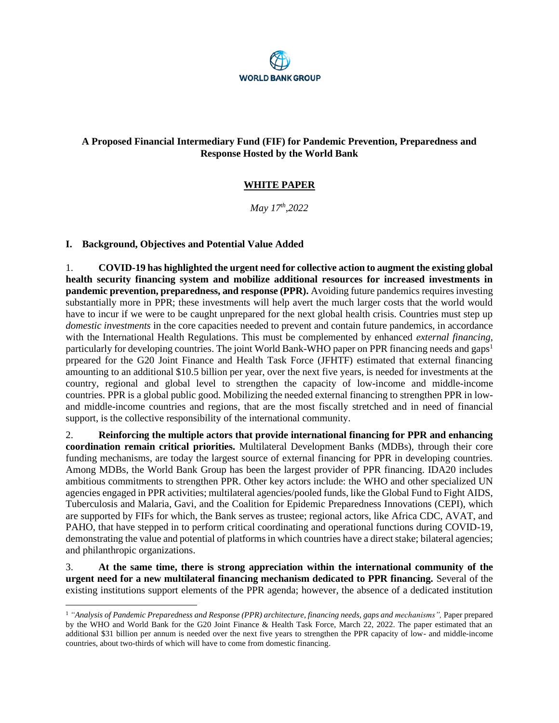

# **A Proposed Financial Intermediary Fund (FIF) for Pandemic Prevention, Preparedness and Response Hosted by the World Bank**

# **WHITE PAPER**

*May 17 th,2022*

## **I. Background, Objectives and Potential Value Added**

1. **COVID-19 has highlighted the urgent need for collective action to augment the existing global health security financing system and mobilize additional resources for increased investments in pandemic prevention, preparedness, and response (PPR).** Avoiding future pandemics requires investing substantially more in PPR; these investments will help avert the much larger costs that the world would have to incur if we were to be caught unprepared for the next global health crisis. Countries must step up *domestic investments* in the core capacities needed to prevent and contain future pandemics, in accordance with the International Health Regulations. This must be complemented by enhanced *external financing*, particularly for developing countries. The joint World Bank-WHO paper on PPR financing needs and gaps<sup>1</sup> prpeared for the G20 Joint Finance and Health Task Force (JFHTF) estimated that external financing amounting to an additional \$10.5 billion per year, over the next five years, is needed for investments at the country, regional and global level to strengthen the capacity of low-income and middle-income countries. PPR is a global public good. Mobilizing the needed external financing to strengthen PPR in lowand middle-income countries and regions, that are the most fiscally stretched and in need of financial support, is the collective responsibility of the international community.

2. **Reinforcing the multiple actors that provide international financing for PPR and enhancing coordination remain critical priorities.** Multilateral Development Banks (MDBs), through their core funding mechanisms, are today the largest source of external financing for PPR in developing countries. Among MDBs, the World Bank Group has been the largest provider of PPR financing. IDA20 includes ambitious commitments to strengthen PPR. Other key actors include: the WHO and other specialized UN agencies engaged in PPR activities; multilateral agencies/pooled funds, like the Global Fund to Fight AIDS, Tuberculosis and Malaria, Gavi, and the Coalition for Epidemic Preparedness Innovations (CEPI), which are supported by FIFs for which, the Bank serves as trustee; regional actors, like Africa CDC, AVAT, and PAHO, that have stepped in to perform critical coordinating and operational functions during COVID-19, demonstrating the value and potential of platforms in which countries have a direct stake; bilateral agencies; and philanthropic organizations.

3. **At the same time, there is strong appreciation within the international community of the urgent need for a new multilateral financing mechanism dedicated to PPR financing.** Several of the existing institutions support elements of the PPR agenda; however, the absence of a dedicated institution

<sup>1</sup> *"Analysis of Pandemic Preparedness and Response (PPR) architecture, financing needs, gaps and mechanisms",* Paper prepared by the WHO and World Bank for the G20 Joint Finance & Health Task Force, March 22, 2022. The paper estimated that an additional \$31 billion per annum is needed over the next five years to strengthen the PPR capacity of low- and middle-income countries, about two-thirds of which will have to come from domestic financing.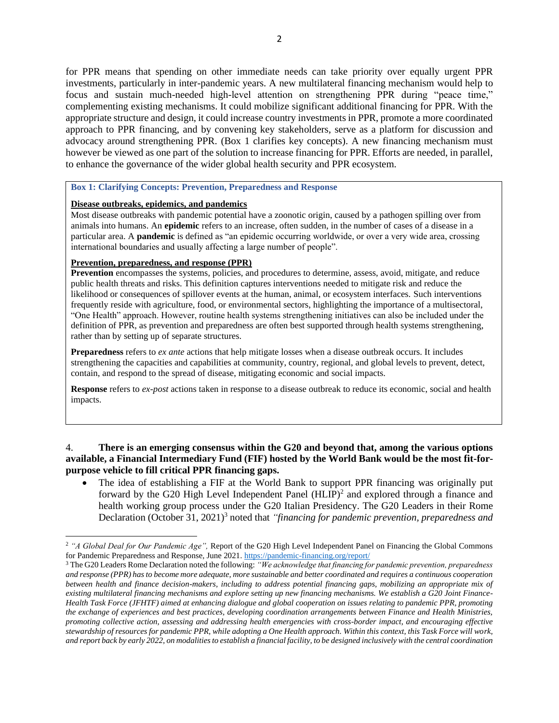for PPR means that spending on other immediate needs can take priority over equally urgent PPR investments, particularly in inter-pandemic years. A new multilateral financing mechanism would help to focus and sustain much-needed high-level attention on strengthening PPR during "peace time," complementing existing mechanisms. It could mobilize significant additional financing for PPR. With the appropriate structure and design, it could increase country investments in PPR, promote a more coordinated approach to PPR financing, and by convening key stakeholders, serve as a platform for discussion and advocacy around strengthening PPR. (Box 1 clarifies key concepts). A new financing mechanism must however be viewed as one part of the solution to increase financing for PPR. Efforts are needed, in parallel, to enhance the governance of the wider global health security and PPR ecosystem.

### **Box 1: Clarifying Concepts: Prevention, Preparedness and Response**

### **Disease outbreaks, epidemics, and pandemics**

Most disease outbreaks with pandemic potential have a zoonotic origin, caused by a pathogen spilling over from animals into humans. An **epidemic** refers to an increase, often sudden, in the number of cases of a disease in a particular area. A **pandemic** is defined as "an epidemic occurring worldwide, or over a very wide area, crossing international boundaries and usually affecting a large number of people".

### **Prevention, preparedness, and response (PPR)**

**Prevention** encompasses the systems, policies, and procedures to determine, assess, avoid, mitigate, and reduce public health threats and risks. This definition captures interventions needed to mitigate risk and reduce the likelihood or consequences of spillover events at the human, animal, or ecosystem interfaces. Such interventions frequently reside with agriculture, food, or environmental sectors, highlighting the importance of a multisectoral, "One Health" approach. However, routine health systems strengthening initiatives can also be included under the definition of PPR, as prevention and preparedness are often best supported through health systems strengthening, rather than by setting up of separate structures.

**Preparedness** refers to *ex ante* actions that help mitigate losses when a disease outbreak occurs. It includes strengthening the capacities and capabilities at community, country, regional, and global levels to prevent, detect, contain, and respond to the spread of disease, mitigating economic and social impacts.

**Response** refers to *ex-post* actions taken in response to a disease outbreak to reduce its economic, social and health impacts.

## 4. **There is an emerging consensus within the G20 and beyond that, among the various options available, a Financial Intermediary Fund (FIF) hosted by the World Bank would be the most fit-forpurpose vehicle to fill critical PPR financing gaps.**

• The idea of establishing a FIF at the World Bank to support PPR financing was originally put forward by the G20 High Level Independent Panel  $(HLIP)^2$  and explored through a finance and health working group process under the G20 Italian Presidency. The G20 Leaders in their Rome Declaration (October 31, 2021)<sup>3</sup> noted that *"financing for pandemic prevention, preparedness and* 

<sup>2</sup> *"A Global Deal for Our Pandemic Age",* Report of the G20 High Level Independent Panel on Financing the Global Commons for Pandemic Preparedness and Response, June 2021[. https://pandemic-financing.org/report/](https://pandemic-financing.org/report/)

<sup>3</sup> The G20 Leaders Rome Declaration noted the following: *"We acknowledge that financing for pandemic prevention, preparedness and response (PPR) has to become more adequate, more sustainable and better coordinated and requires a continuous cooperation between health and finance decision-makers, including to address potential financing gaps, mobilizing an appropriate mix of existing multilateral financing mechanisms and explore setting up new financing mechanisms. We establish a G20 Joint Finance-Health Task Force (JFHTF) aimed at enhancing dialogue and global cooperation on issues relating to pandemic PPR, promoting the exchange of experiences and best practices, developing coordination arrangements between Finance and Health Ministries, promoting collective action, assessing and addressing health emergencies with cross-border impact, and encouraging effective stewardship of resources for pandemic PPR, while adopting a One Health approach. Within this context, this Task Force will work, and report back by early 2022, on modalities to establish a financial facility, to be designed inclusively with the central coordination*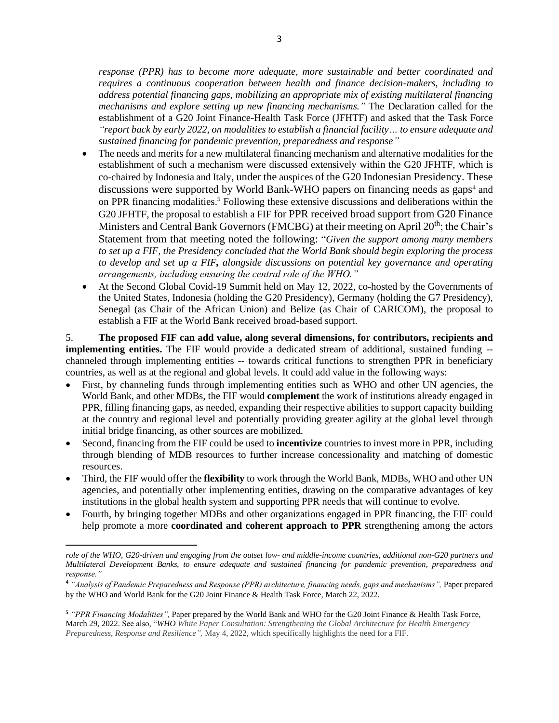*response (PPR) has to become more adequate, more sustainable and better coordinated and requires a continuous cooperation between health and finance decision-makers, including to address potential financing gaps, mobilizing an appropriate mix of existing multilateral financing mechanisms and explore setting up new financing mechanisms."* The Declaration called for the establishment of a G20 Joint Finance-Health Task Force (JFHTF) and asked that the Task Force *"report back by early 2022, on modalities to establish a financial facility… to ensure adequate and sustained financing for pandemic prevention, preparedness and response"*

- The needs and merits for a new multilateral financing mechanism and alternative modalities for the establishment of such a mechanism were discussed extensively within the G20 JFHTF, which is co-chaired by Indonesia and Italy, under the auspices of the G20 Indonesian Presidency. These discussions were supported by World Bank-WHO papers on financing needs as gaps<sup>4</sup> and on PPR financing modalities. <sup>5</sup> Following these extensive discussions and deliberations within the G20 JFHTF, the proposal to establish a FIF for PPR received broad support from G20 Finance Ministers and Central Bank Governors (FMCBG) at their meeting on April 20<sup>th</sup>; the Chair's Statement from that meeting noted the following: "*Given the support among many members to set up a FIF, the Presidency concluded that the World Bank should begin exploring the process to develop and set up a FIF, alongside discussions on potential key governance and operating arrangements, including ensuring the central role of the WHO."*
- At the Second Global Covid-19 Summit held on May 12, 2022, co-hosted by the Governments of the United States, Indonesia (holding the G20 Presidency), Germany (holding the G7 Presidency), Senegal (as Chair of the African Union) and Belize (as Chair of CARICOM), the proposal to establish a FIF at the World Bank received broad-based support.

5. **The proposed FIF can add value, along several dimensions, for contributors, recipients and implementing entities.** The FIF would provide a dedicated stream of additional, sustained funding -channeled through implementing entities -- towards critical functions to strengthen PPR in beneficiary countries, as well as at the regional and global levels. It could add value in the following ways:

- First, by channeling funds through implementing entities such as WHO and other UN agencies, the World Bank, and other MDBs, the FIF would **complement** the work of institutions already engaged in PPR, filling financing gaps, as needed, expanding their respective abilities to support capacity building at the country and regional level and potentially providing greater agility at the global level through initial bridge financing, as other sources are mobilized.
- Second, financing from the FIF could be used to **incentivize** countries to invest more in PPR, including through blending of MDB resources to further increase concessionality and matching of domestic resources.
- Third, the FIF would offer the **flexibility** to work through the World Bank, MDBs, WHO and other UN agencies, and potentially other implementing entities, drawing on the comparative advantages of key institutions in the global health system and supporting PPR needs that will continue to evolve.
- Fourth, by bringing together MDBs and other organizations engaged in PPR financing, the FIF could help promote a more **coordinated and coherent approach to PPR** strengthening among the actors

*role of the WHO, G20-driven and engaging from the outset low- and middle-income countries, additional non-G20 partners and Multilateral Development Banks, to ensure adequate and sustained financing for pandemic prevention, preparedness and response."*

<sup>4</sup> *"Analysis of Pandemic Preparedness and Response (PPR) architecture, financing needs, gaps and mechanisms",* Paper prepared by the WHO and World Bank for the G20 Joint Finance & Health Task Force, March 22, 2022.

**<sup>5</sup>** *"PPR Financing Modalities",* Paper prepared by the World Bank and WHO for the G20 Joint Finance & Health Task Force, March 29, 2022. See also, "*WHO White Paper Consultation: Strengthening the Global Architecture for Health Emergency Preparedness, Response and Resilience",* May 4, 2022, which specifically highlights the need for a FIF.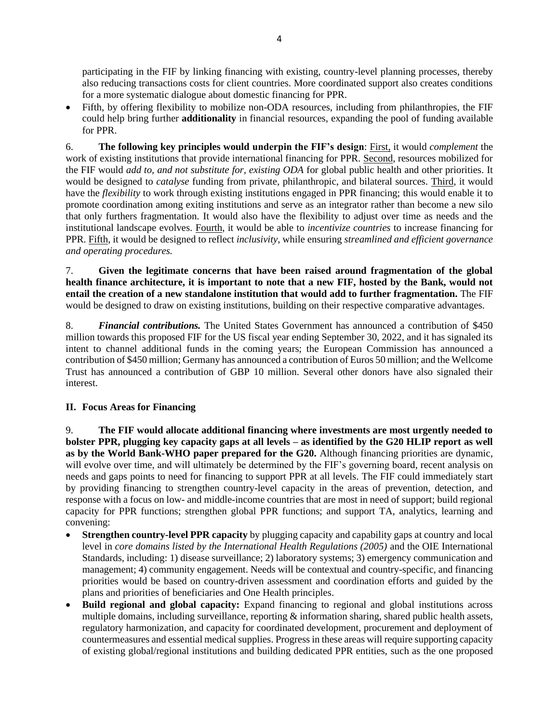participating in the FIF by linking financing with existing, country-level planning processes, thereby also reducing transactions costs for client countries. More coordinated support also creates conditions for a more systematic dialogue about domestic financing for PPR.

• Fifth, by offering flexibility to mobilize non-ODA resources, including from philanthropies, the FIF could help bring further **additionality** in financial resources, expanding the pool of funding available for PPR.

6. **The following key principles would underpin the FIF's design**: First, it would *complement* the work of existing institutions that provide international financing for PPR. Second, resources mobilized for the FIF would *add to, and not substitute for, existing ODA* for global public health and other priorities. It would be designed to *catalyse* funding from private, philanthropic, and bilateral sources. Third, it would have the *flexibility* to work through existing institutions engaged in PPR financing; this would enable it to promote coordination among exiting institutions and serve as an integrator rather than become a new silo that only furthers fragmentation. It would also have the flexibility to adjust over time as needs and the institutional landscape evolves. Fourth, it would be able to *incentivize countries* to increase financing for PPR. Fifth, it would be designed to reflect *inclusivity*, while ensuring *streamlined and efficient governance and operating procedures.* 

7. **Given the legitimate concerns that have been raised around fragmentation of the global health finance architecture, it is important to note that a new FIF, hosted by the Bank, would not entail the creation of a new standalone institution that would add to further fragmentation.** The FIF would be designed to draw on existing institutions, building on their respective comparative advantages.

8. *Financial contributions.* The United States Government has announced a contribution of \$450 million towards this proposed FIF for the US fiscal year ending September 30, 2022, and it has signaled its intent to channel additional funds in the coming years; the European Commission has announced a contribution of \$450 million; Germany has announced a contribution of Euros 50 million; and the Wellcome Trust has announced a contribution of GBP 10 million. Several other donors have also signaled their interest.

# **II. Focus Areas for Financing**

9. **The FIF would allocate additional financing where investments are most urgently needed to bolster PPR, plugging key capacity gaps at all levels – as identified by the G20 HLIP report as well as by the World Bank-WHO paper prepared for the G20.** Although financing priorities are dynamic, will evolve over time, and will ultimately be determined by the FIF's governing board, recent analysis on needs and gaps points to need for financing to support PPR at all levels. The FIF could immediately start by providing financing to strengthen country-level capacity in the areas of prevention, detection, and response with a focus on low- and middle-income countries that are most in need of support; build regional capacity for PPR functions; strengthen global PPR functions; and support TA, analytics, learning and convening:

- **Strengthen country-level PPR capacity** by plugging capacity and capability gaps at country and local level in *core domains listed by the International Health Regulations (2005)* and the OIE International Standards*,* including: 1) disease surveillance; 2) laboratory systems; 3) emergency communication and management; 4) community engagement. Needs will be contextual and country-specific, and financing priorities would be based on country-driven assessment and coordination efforts and guided by the plans and priorities of beneficiaries and One Health principles.
- **Build regional and global capacity:** Expand financing to regional and global institutions across multiple domains, including surveillance, reporting  $\&$  information sharing, shared public health assets, regulatory harmonization, and capacity for coordinated development, procurement and deployment of countermeasures and essential medical supplies. Progress in these areas will require supporting capacity of existing global/regional institutions and building dedicated PPR entities, such as the one proposed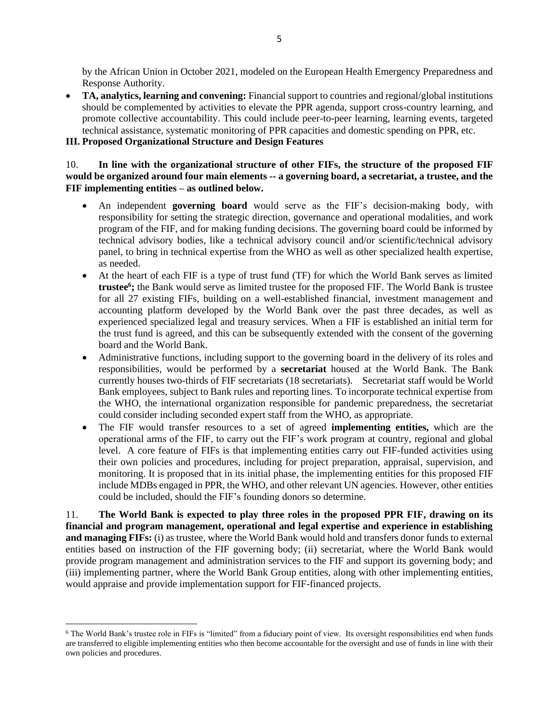by the African Union in October 2021, modeled on the European Health Emergency Preparedness and Response Authority.

• **TA, analytics, learning and convening:** Financial support to countries and regional/global institutions should be complemented by activities to elevate the PPR agenda, support cross-country learning, and promote collective accountability. This could include peer-to-peer learning, learning events, targeted technical assistance, systematic monitoring of PPR capacities and domestic spending on PPR, etc.

### **III. Proposed Organizational Structure and Design Features**

### 10. **In line with the organizational structure of other FIFs, the structure of the proposed FIF would be organized around four main elements -- a governing board, a secretariat, a trustee, and the FIF implementing entities – as outlined below.**

- An independent **governing board** would serve as the FIF's decision-making body, with responsibility for setting the strategic direction, governance and operational modalities, and work program of the FIF, and for making funding decisions. The governing board could be informed by technical advisory bodies, like a technical advisory council and/or scientific/technical advisory panel, to bring in technical expertise from the WHO as well as other specialized health expertise, as needed.
- At the heart of each FIF is a type of trust fund (TF) for which the World Bank serves as limited **trustee<sup>6</sup> ;** the Bank would serve as limited trustee for the proposed FIF. The World Bank is trustee for all 27 existing FIFs, building on a well-established financial, investment management and accounting platform developed by the World Bank over the past three decades, as well as experienced specialized legal and treasury services. When a FIF is established an initial term for the trust fund is agreed, and this can be subsequently extended with the consent of the governing board and the World Bank.
- Administrative functions, including support to the governing board in the delivery of its roles and responsibilities, would be performed by a **secretariat** housed at the World Bank. The Bank currently houses two-thirds of FIF secretariats (18 secretariats). Secretariat staff would be World Bank employees, subject to Bank rules and reporting lines. To incorporate technical expertise from the WHO, the international organization responsible for pandemic preparedness, the secretariat could consider including seconded expert staff from the WHO, as appropriate.
- The FIF would transfer resources to a set of agreed **implementing entities,** which are the operational arms of the FIF, to carry out the FIF's work program at country, regional and global level. A core feature of FIFs is that implementing entities carry out FIF-funded activities using their own policies and procedures, including for project preparation, appraisal, supervision, and monitoring. It is proposed that in its initial phase, the implementing entities for this proposed FIF include MDBs engaged in PPR, the WHO, and other relevant UN agencies. However, other entities could be included, should the FIF's founding donors so determine.

11. **The World Bank is expected to play three roles in the proposed PPR FIF, drawing on its financial and program management, operational and legal expertise and experience in establishing and managing FIFs:** (i) as trustee, where the World Bank would hold and transfers donor funds to external entities based on instruction of the FIF governing body; (ii) secretariat, where the World Bank would provide program management and administration services to the FIF and support its governing body; and (iii) implementing partner, where the World Bank Group entities, along with other implementing entities, would appraise and provide implementation support for FIF-financed projects.

<sup>&</sup>lt;sup>6</sup> The World Bank's trustee role in FIFs is "limited" from a fiduciary point of view. Its oversight responsibilities end when funds are transferred to eligible implementing entities who then become accountable for the oversight and use of funds in line with their own policies and procedures.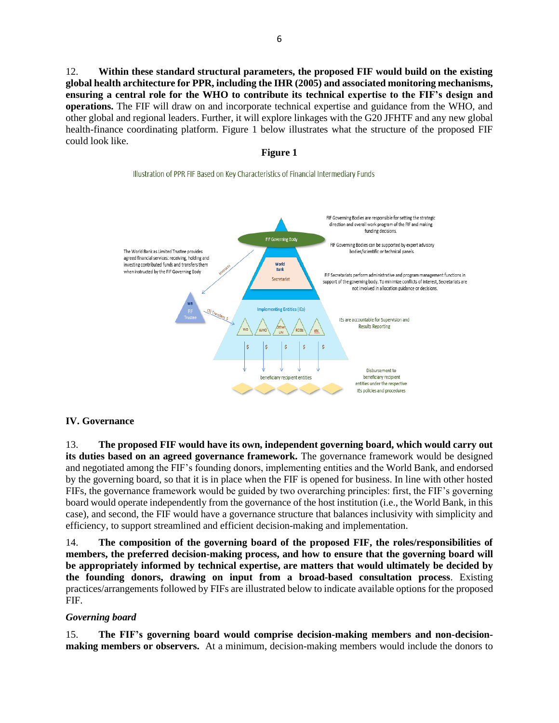12. **Within these standard structural parameters, the proposed FIF would build on the existing global health architecture for PPR, including the IHR (2005) and associated monitoring mechanisms, ensuring a central role for the WHO to contribute its technical expertise to the FIF's design and operations.** The FIF will draw on and incorporate technical expertise and guidance from the WHO, and other global and regional leaders. Further, it will explore linkages with the G20 JFHTF and any new global health-finance coordinating platform. Figure 1 below illustrates what the structure of the proposed FIF could look like.

#### **Figure 1**

#### Illustration of PPR FIF Based on Key Characteristics of Financial Intermediary Funds



### **IV. Governance**

13. **The proposed FIF would have its own, independent governing board, which would carry out its duties based on an agreed governance framework.** The governance framework would be designed and negotiated among the FIF's founding donors, implementing entities and the World Bank, and endorsed by the governing board, so that it is in place when the FIF is opened for business. In line with other hosted FIFs, the governance framework would be guided by two overarching principles: first, the FIF's governing board would operate independently from the governance of the host institution (i.e., the World Bank, in this case), and second, the FIF would have a governance structure that balances inclusivity with simplicity and efficiency, to support streamlined and efficient decision-making and implementation.

14. **The composition of the governing board of the proposed FIF, the roles/responsibilities of members, the preferred decision-making process, and how to ensure that the governing board will be appropriately informed by technical expertise, are matters that would ultimately be decided by the founding donors, drawing on input from a broad-based consultation process**. Existing practices/arrangements followed by FIFs are illustrated below to indicate available options for the proposed FIF.

### *Governing board*

15. **The FIF's governing board would comprise decision-making members and non-decisionmaking members or observers.** At a minimum, decision-making members would include the donors to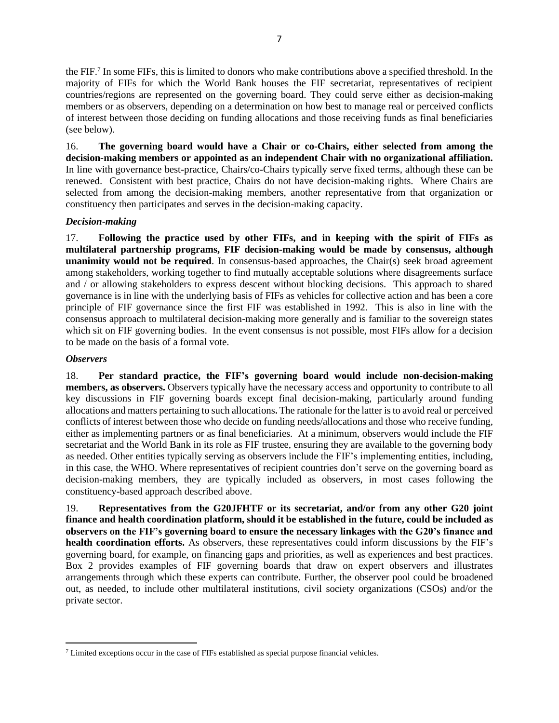the FIF. 7 In some FIFs, this is limited to donors who make contributions above a specified threshold. In the majority of FIFs for which the World Bank houses the FIF secretariat, representatives of recipient countries/regions are represented on the governing board. They could serve either as decision-making members or as observers, depending on a determination on how best to manage real or perceived conflicts of interest between those deciding on funding allocations and those receiving funds as final beneficiaries (see below).

16. **The governing board would have a Chair or co-Chairs, either selected from among the decision-making members or appointed as an independent Chair with no organizational affiliation.** In line with governance best-practice, Chairs/co-Chairs typically serve fixed terms, although these can be renewed. Consistent with best practice, Chairs do not have decision-making rights. Where Chairs are selected from among the decision-making members, another representative from that organization or constituency then participates and serves in the decision-making capacity.

## *Decision-making*

17. **Following the practice used by other FIFs, and in keeping with the spirit of FIFs as multilateral partnership programs, FIF decision-making would be made by consensus, although unanimity would not be required**. In consensus-based approaches, the Chair(s) seek broad agreement among stakeholders, working together to find mutually acceptable solutions where disagreements surface and / or allowing stakeholders to express descent without blocking decisions. This approach to shared governance is in line with the underlying basis of FIFs as vehicles for collective action and has been a core principle of FIF governance since the first FIF was established in 1992. This is also in line with the consensus approach to multilateral decision-making more generally and is familiar to the sovereign states which sit on FIF governing bodies. In the event consensus is not possible, most FIFs allow for a decision to be made on the basis of a formal vote.

## *Observers*

18. **Per standard practice, the FIF's governing board would include non-decision-making members, as observers.** Observers typically have the necessary access and opportunity to contribute to all key discussions in FIF governing boards except final decision-making, particularly around funding allocations and matters pertaining to such allocations**.** The rationale for the latter is to avoid real or perceived conflicts of interest between those who decide on funding needs/allocations and those who receive funding, either as implementing partners or as final beneficiaries. At a minimum, observers would include the FIF secretariat and the World Bank in its role as FIF trustee, ensuring they are available to the governing body as needed. Other entities typically serving as observers include the FIF's implementing entities, including, in this case, the WHO. Where representatives of recipient countries don't serve on the governing board as decision-making members, they are typically included as observers, in most cases following the constituency-based approach described above.

19. **Representatives from the G20JFHTF or its secretariat, and/or from any other G20 joint finance and health coordination platform, should it be established in the future, could be included as observers on the FIF's governing board to ensure the necessary linkages with the G20's finance and health coordination efforts.** As observers, these representatives could inform discussions by the FIF's governing board, for example, on financing gaps and priorities, as well as experiences and best practices. Box 2 provides examples of FIF governing boards that draw on expert observers and illustrates arrangements through which these experts can contribute. Further, the observer pool could be broadened out, as needed, to include other multilateral institutions, civil society organizations (CSOs) and/or the private sector.

<sup>&</sup>lt;sup>7</sup> Limited exceptions occur in the case of FIFs established as special purpose financial vehicles.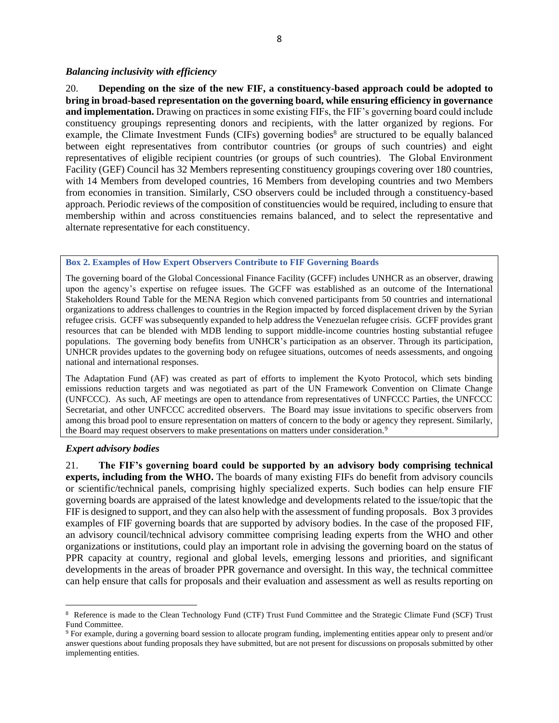#### *Balancing inclusivity with efficiency*

20. **Depending on the size of the new FIF, a constituency-based approach could be adopted to bring in broad-based representation on the governing board, while ensuring efficiency in governance and implementation.** Drawing on practices in some existing FIFs, the FIF's governing board could include constituency groupings representing donors and recipients, with the latter organized by regions. For example, the Climate Investment Funds (CIFs) governing bodies<sup>8</sup> are structured to be equally balanced between eight representatives from contributor countries (or groups of such countries) and eight representatives of eligible recipient countries (or groups of such countries). The Global Environment Facility (GEF) Council has 32 Members representing constituency groupings covering over 180 countries, with 14 Members from developed countries, 16 Members from developing countries and two Members from economies in transition. Similarly, CSO observers could be included through a constituency-based approach. Periodic reviews of the composition of constituencies would be required, including to ensure that membership within and across constituencies remains balanced, and to select the representative and alternate representative for each constituency.

#### **Box 2. Examples of How Expert Observers Contribute to FIF Governing Boards**

The governing board of the Global Concessional Finance Facility (GCFF) includes UNHCR as an observer, drawing upon the agency's expertise on refugee issues. The GCFF was established as an outcome of the International Stakeholders Round Table for the MENA Region which convened participants from 50 countries and international organizations to address challenges to countries in the Region impacted by forced displacement driven by the Syrian refugee crisis. GCFF was subsequently expanded to help address the Venezuelan refugee crisis. GCFF provides grant resources that can be blended with MDB lending to support middle-income countries hosting substantial refugee populations. The governing body benefits from UNHCR's participation as an observer. Through its participation, UNHCR provides updates to the governing body on refugee situations, outcomes of needs assessments, and ongoing national and international responses.

The Adaptation Fund (AF) was created as part of efforts to implement the Kyoto Protocol, which sets binding emissions reduction targets and was negotiated as part of the UN Framework Convention on Climate Change (UNFCCC). As such, AF meetings are open to attendance from representatives of UNFCCC Parties, the UNFCCC Secretariat, and other UNFCCC accredited observers. The Board may issue invitations to specific observers from among this broad pool to ensure representation on matters of concern to the body or agency they represent. Similarly, the Board may request observers to make presentations on matters under consideration.<sup>9</sup>

### *Expert advisory bodies*

21. **The FIF's governing board could be supported by an advisory body comprising technical experts, including from the WHO.** The boards of many existing FIFs do benefit from advisory councils or scientific/technical panels, comprising highly specialized experts. Such bodies can help ensure FIF governing boards are appraised of the latest knowledge and developments related to the issue/topic that the FIF is designed to support, and they can also help with the assessment of funding proposals. Box 3 provides examples of FIF governing boards that are supported by advisory bodies. In the case of the proposed FIF, an advisory council/technical advisory committee comprising leading experts from the WHO and other organizations or institutions, could play an important role in advising the governing board on the status of PPR capacity at country, regional and global levels, emerging lessons and priorities, and significant developments in the areas of broader PPR governance and oversight. In this way, the technical committee can help ensure that calls for proposals and their evaluation and assessment as well as results reporting on

<sup>&</sup>lt;sup>8</sup> Reference is made to the Clean Technology Fund (CTF) Trust Fund Committee and the Strategic Climate Fund (SCF) Trust Fund Committee.

<sup>9</sup> For example, during a governing board session to allocate program funding, implementing entities appear only to present and/or answer questions about funding proposals they have submitted, but are not present for discussions on proposals submitted by other implementing entities.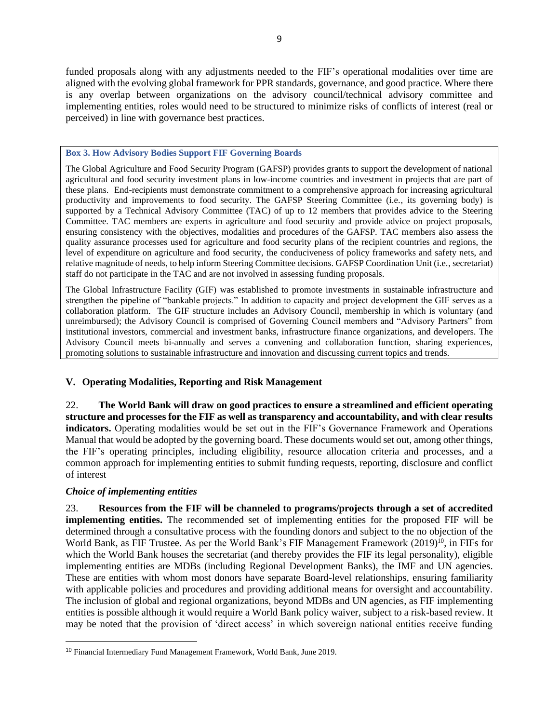funded proposals along with any adjustments needed to the FIF's operational modalities over time are aligned with the evolving global framework for PPR standards, governance, and good practice. Where there is any overlap between organizations on the advisory council/technical advisory committee and implementing entities, roles would need to be structured to minimize risks of conflicts of interest (real or perceived) in line with governance best practices.

#### **Box 3. How Advisory Bodies Support FIF Governing Boards**

The Global Agriculture and Food Security Program (GAFSP) provides grants to support the development of national agricultural and food security investment plans in low-income countries and investment in projects that are part of these plans. End-recipients must demonstrate commitment to a comprehensive approach for increasing agricultural productivity and improvements to food security. The GAFSP Steering Committee (i.e., its governing body) is supported by a Technical Advisory Committee (TAC) of up to 12 members that provides advice to the Steering Committee. TAC members are experts in agriculture and food security and provide advice on project proposals, ensuring consistency with the objectives, modalities and procedures of the GAFSP. TAC members also assess the quality assurance processes used for agriculture and food security plans of the recipient countries and regions, the level of expenditure on agriculture and food security, the conduciveness of policy frameworks and safety nets, and relative magnitude of needs, to help inform Steering Committee decisions. GAFSP Coordination Unit (i.e., secretariat) staff do not participate in the TAC and are not involved in assessing funding proposals.

The Global Infrastructure Facility (GIF) was established to promote investments in sustainable infrastructure and strengthen the pipeline of "bankable projects." In addition to capacity and project development the GIF serves as a collaboration platform. The GIF structure includes an Advisory Council, membership in which is voluntary (and unreimbursed); the Advisory Council is comprised of Governing Council members and "Advisory Partners" from institutional investors, commercial and investment banks, infrastructure finance organizations, and developers. The Advisory Council meets bi-annually and serves a convening and collaboration function, sharing experiences, promoting solutions to sustainable infrastructure and innovation and discussing current topics and trends.

### **V. Operating Modalities, Reporting and Risk Management**

22. **The World Bank will draw on good practices to ensure a streamlined and efficient operating structure and processes for the FIF as well as transparency and accountability, and with clear results indicators.** Operating modalities would be set out in the FIF's Governance Framework and Operations Manual that would be adopted by the governing board. These documents would set out, among other things, the FIF's operating principles, including eligibility, resource allocation criteria and processes, and a common approach for implementing entities to submit funding requests, reporting, disclosure and conflict of interest

### *Choice of implementing entities*

23. **Resources from the FIF will be channeled to programs/projects through a set of accredited implementing entities.** The recommended set of implementing entities for the proposed FIF will be determined through a consultative process with the founding donors and subject to the no objection of the World Bank, as FIF Trustee. As per the World Bank's FIF Management Framework (2019)<sup>10</sup>, in FIFs for which the World Bank houses the secretariat (and thereby provides the FIF its legal personality), eligible implementing entities are MDBs (including Regional Development Banks), the IMF and UN agencies. These are entities with whom most donors have separate Board-level relationships, ensuring familiarity with applicable policies and procedures and providing additional means for oversight and accountability. The inclusion of global and regional organizations, beyond MDBs and UN agencies, as FIF implementing entities is possible although it would require a World Bank policy waiver, subject to a risk-based review. It may be noted that the provision of 'direct access' in which sovereign national entities receive funding

<sup>10</sup> Financial Intermediary Fund Management Framework, World Bank, June 2019.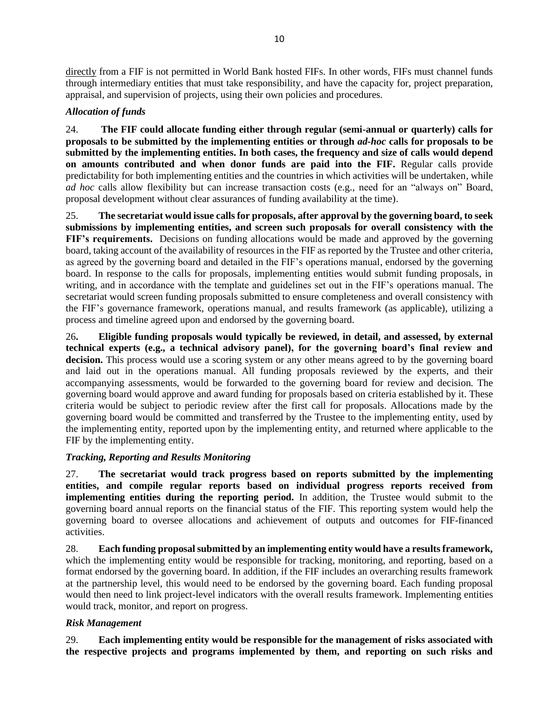directly from a FIF is not permitted in World Bank hosted FIFs. In other words, FIFs must channel funds through intermediary entities that must take responsibility, and have the capacity for, project preparation, appraisal, and supervision of projects, using their own policies and procedures.

## *Allocation of funds*

24. **The FIF could allocate funding either through regular (semi-annual or quarterly) calls for proposals to be submitted by the implementing entities or through** *ad-hoc* **calls for proposals to be submitted by the implementing entities. In both cases, the frequency and size of calls would depend on amounts contributed and when donor funds are paid into the FIF.** Regular calls provide predictability for both implementing entities and the countries in which activities will be undertaken, while *ad hoc* calls allow flexibility but can increase transaction costs (e.g., need for an "always on" Board, proposal development without clear assurances of funding availability at the time).

25. **The secretariat would issue calls for proposals, after approval by the governing board, to seek submissions by implementing entities, and screen such proposals for overall consistency with the FIF's requirements.** Decisions on funding allocations would be made and approved by the governing board, taking account of the availability of resources in the FIF as reported by the Trustee and other criteria, as agreed by the governing board and detailed in the FIF's operations manual, endorsed by the governing board. In response to the calls for proposals, implementing entities would submit funding proposals, in writing, and in accordance with the template and guidelines set out in the FIF's operations manual. The secretariat would screen funding proposals submitted to ensure completeness and overall consistency with the FIF's governance framework, operations manual, and results framework (as applicable), utilizing a process and timeline agreed upon and endorsed by the governing board.

26**. Eligible funding proposals would typically be reviewed, in detail, and assessed, by external technical experts (e.g., a technical advisory panel), for the governing board's final review and decision.** This process would use a scoring system or any other means agreed to by the governing board and laid out in the operations manual. All funding proposals reviewed by the experts, and their accompanying assessments, would be forwarded to the governing board for review and decision. The governing board would approve and award funding for proposals based on criteria established by it. These criteria would be subject to periodic review after the first call for proposals. Allocations made by the governing board would be committed and transferred by the Trustee to the implementing entity, used by the implementing entity, reported upon by the implementing entity, and returned where applicable to the FIF by the implementing entity.

### *Tracking, Reporting and Results Monitoring*

27. **The secretariat would track progress based on reports submitted by the implementing entities, and compile regular reports based on individual progress reports received from implementing entities during the reporting period.** In addition, the Trustee would submit to the governing board annual reports on the financial status of the FIF. This reporting system would help the governing board to oversee allocations and achievement of outputs and outcomes for FIF-financed activities.

28. **Each funding proposal submitted by an implementing entity would have a results framework,**  which the implementing entity would be responsible for tracking, monitoring, and reporting, based on a format endorsed by the governing board. In addition, if the FIF includes an overarching results framework at the partnership level, this would need to be endorsed by the governing board. Each funding proposal would then need to link project-level indicators with the overall results framework. Implementing entities would track, monitor, and report on progress.

# *Risk Management*

29. **Each implementing entity would be responsible for the management of risks associated with the respective projects and programs implemented by them, and reporting on such risks and**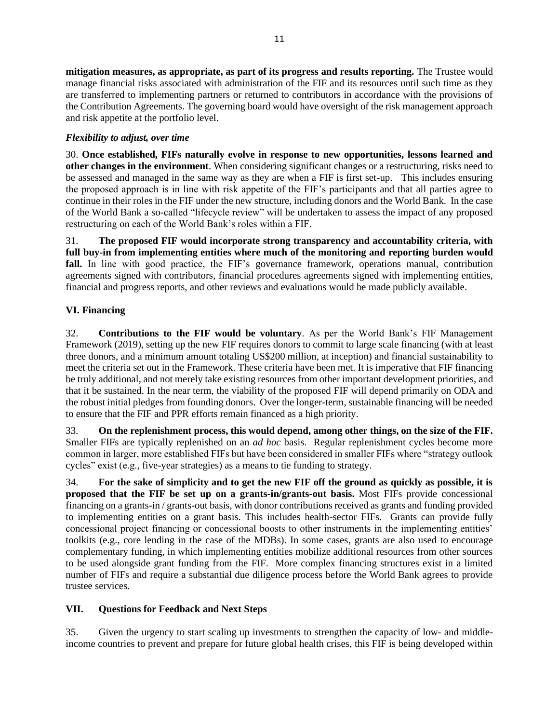**mitigation measures, as appropriate, as part of its progress and results reporting.** The Trustee would manage financial risks associated with administration of the FIF and its resources until such time as they are transferred to implementing partners or returned to contributors in accordance with the provisions of the Contribution Agreements. The governing board would have oversight of the risk management approach and risk appetite at the portfolio level.

# *Flexibility to adjust, over time*

30. **Once established, FIFs naturally evolve in response to new opportunities, lessons learned and other changes in the environment**. When considering significant changes or a restructuring, risks need to be assessed and managed in the same way as they are when a FIF is first set-up. This includes ensuring the proposed approach is in line with risk appetite of the FIF's participants and that all parties agree to continue in their roles in the FIF under the new structure, including donors and the World Bank. In the case of the World Bank a so-called "lifecycle review" will be undertaken to assess the impact of any proposed restructuring on each of the World Bank's roles within a FIF.

31. **The proposed FIF would incorporate strong transparency and accountability criteria, with full buy-in from implementing entities where much of the monitoring and reporting burden would fall.** In line with good practice, the FIF's governance framework, operations manual, contribution agreements signed with contributors, financial procedures agreements signed with implementing entities, financial and progress reports, and other reviews and evaluations would be made publicly available.

# **VI. Financing**

32. **Contributions to the FIF would be voluntary**. As per the World Bank's FIF Management Framework (2019), setting up the new FIF requires donors to commit to large scale financing (with at least three donors, and a minimum amount totaling US\$200 million, at inception) and financial sustainability to meet the criteria set out in the Framework. These criteria have been met. It is imperative that FIF financing be truly additional, and not merely take existing resources from other important development priorities, and that it be sustained. In the near term, the viability of the proposed FIF will depend primarily on ODA and the robust initial pledges from founding donors. Over the longer-term, sustainable financing will be needed to ensure that the FIF and PPR efforts remain financed as a high priority.

33. **On the replenishment process, this would depend, among other things, on the size of the FIF.**  Smaller FIFs are typically replenished on an *ad hoc* basis. Regular replenishment cycles become more common in larger, more established FIFs but have been considered in smaller FIFs where "strategy outlook cycles" exist (e.g., five-year strategies) as a means to tie funding to strategy.

34. **For the sake of simplicity and to get the new FIF off the ground as quickly as possible, it is proposed that the FIF be set up on a grants-in/grants-out basis.** Most FIFs provide concessional financing on a grants-in / grants-out basis, with donor contributions received as grants and funding provided to implementing entities on a grant basis. This includes health-sector FIFs. Grants can provide fully concessional project financing or concessional boosts to other instruments in the implementing entities' toolkits (e.g., core lending in the case of the MDBs). In some cases, grants are also used to encourage complementary funding, in which implementing entities mobilize additional resources from other sources to be used alongside grant funding from the FIF. More complex financing structures exist in a limited number of FIFs and require a substantial due diligence process before the World Bank agrees to provide trustee services.

# **VII. Questions for Feedback and Next Steps**

35. Given the urgency to start scaling up investments to strengthen the capacity of low- and middleincome countries to prevent and prepare for future global health crises, this FIF is being developed within